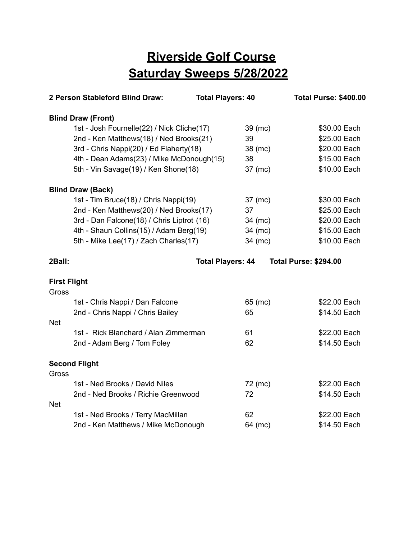## **Riverside Golf Course Saturday Sweeps 5/28/2022**

| 2 Person Stableford Blind Draw:            | <b>Total Players: 40</b>              |         | <b>Total Purse: \$400.00</b> |
|--------------------------------------------|---------------------------------------|---------|------------------------------|
| <b>Blind Draw (Front)</b>                  |                                       |         |                              |
| 1st - Josh Fournelle(22) / Nick Cliche(17) |                                       | 39 (mc) | \$30.00 Each                 |
| 2nd - Ken Matthews(18) / Ned Brooks(21)    |                                       | 39      | \$25.00 Each                 |
| 3rd - Chris Nappi(20) / Ed Flaherty(18)    |                                       | 38 (mc) | \$20.00 Each                 |
| 4th - Dean Adams(23) / Mike McDonough(15)  |                                       | 38      | \$15.00 Each                 |
|                                            | 5th - Vin Savage(19) / Ken Shone(18)  |         | \$10.00 Each                 |
| <b>Blind Draw (Back)</b>                   |                                       |         |                              |
|                                            | 1st - Tim Bruce(18) / Chris Nappi(19) |         | \$30.00 Each                 |
| 2nd - Ken Matthews(20) / Ned Brooks(17)    |                                       | 37      | \$25.00 Each                 |
| 3rd - Dan Falcone(18) / Chris Liptrot (16) |                                       | 34 (mc) | \$20.00 Each                 |
| 4th - Shaun Collins(15) / Adam Berg(19)    |                                       | 34 (mc) | \$15.00 Each                 |
| 5th - Mike Lee(17) / Zach Charles(17)      |                                       | 34 (mc) | \$10.00 Each                 |
| 2Ball:                                     | <b>Total Players: 44</b>              |         | <b>Total Purse: \$294.00</b> |
| <b>First Flight</b>                        |                                       |         |                              |
| Gross                                      |                                       |         |                              |
| 1st - Chris Nappi / Dan Falcone            |                                       | 65 (mc) | \$22.00 Each                 |
| 2nd - Chris Nappi / Chris Bailey           |                                       | 65      | \$14.50 Each                 |
| <b>Net</b>                                 |                                       |         |                              |
| 1st - Rick Blanchard / Alan Zimmerman      |                                       | 61      | \$22.00 Each                 |
| 2nd - Adam Berg / Tom Foley                |                                       | 62      | \$14.50 Each                 |
| <b>Second Flight</b>                       |                                       |         |                              |
| Gross                                      |                                       |         |                              |
| 1st - Ned Brooks / David Niles             |                                       | 72 (mc) | \$22.00 Each                 |
| 2nd - Ned Brooks / Richie Greenwood        |                                       | 72      | \$14.50 Each                 |
| <b>Net</b>                                 |                                       |         |                              |
| 1st - Ned Brooks / Terry MacMillan         |                                       | 62      | \$22.00 Each                 |
| 2nd - Ken Matthews / Mike McDonough        |                                       | 64 (mc) | \$14.50 Each                 |